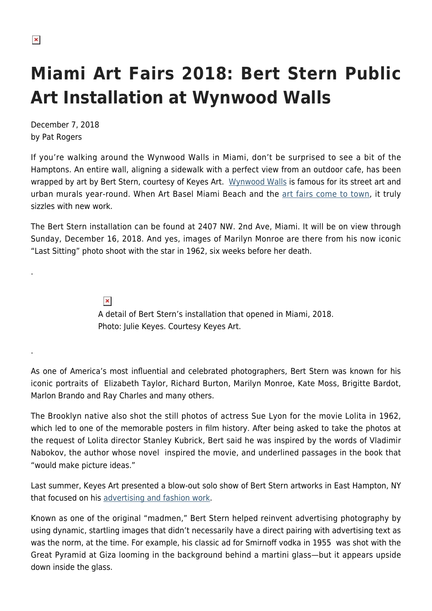.

.

# **Miami Art Fairs 2018: Bert Stern Public Art Installation at Wynwood Walls**

December 7, 2018 by Pat Rogers

If you're walking around the Wynwood Walls in Miami, don't be surprised to see a bit of the Hamptons. An entire wall, aligning a sidewalk with a perfect view from an outdoor cafe, has been wrapped by art by Bert Stern, courtesy of Keyes Art. [Wynwood Walls](http://www.thewynwoodwalls.com/) is famous for its street art and urban murals year-round. When Art Basel Miami Beach and the [art fairs come to town](https://hamptonsarthub.com/2018/12/04/art-fairs-ultimate-guide-to-the-miami-art-fairs-2018/), it truly sizzles with new work.

The Bert Stern installation can be found at 2407 NW. 2nd Ave, Miami. It will be on view through Sunday, December 16, 2018. And yes, images of Marilyn Monroe are there from his now iconic "Last Sitting" photo shoot with the star in 1962, six weeks before her death.

> $\pmb{\times}$ A detail of Bert Stern's installation that opened in Miami, 2018. Photo: Julie Keyes. Courtesy Keyes Art.

As one of America's most influential and celebrated photographers, Bert Stern was known for his iconic portraits of Elizabeth Taylor, Richard Burton, Marilyn Monroe, Kate Moss, Brigitte Bardot, Marlon Brando and Ray Charles and many others.

The Brooklyn native also shot the still photos of actress Sue Lyon for the movie Lolita in 1962, which led to one of the memorable posters in film history. After being asked to take the photos at the request of Lolita director Stanley Kubrick, Bert said he was inspired by the words of Vladimir Nabokov, the author whose novel inspired the movie, and underlined passages in the book that "would make picture ideas."

Last summer, Keyes Art presented a blow-out solo show of Bert Stern artworks in East Hampton, NY that focused on his [advertising and fashion work](https://hamptonsarthub.com/exhibition/bert-stern-shapes-symbols-early-advertising-works-1953-1970/).

Known as one of the original "madmen," Bert Stern helped reinvent advertising photography by using dynamic, startling images that didn't necessarily have a direct pairing with advertising text as was the norm, at the time. For example, his classic ad for Smirnoff vodka in 1955 was shot with the Great Pyramid at Giza looming in the background behind a martini glass—but it appears upside down inside the glass.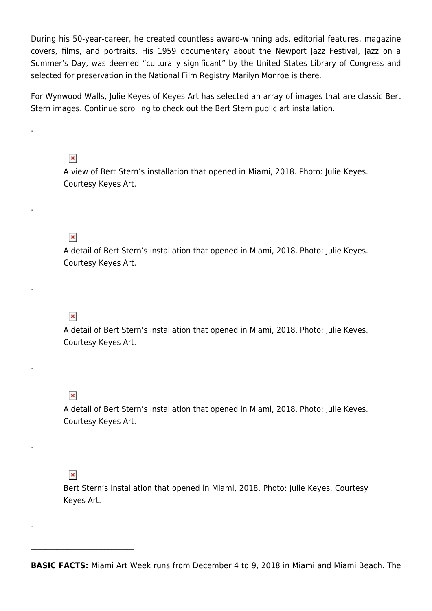During his 50-year-career, he created countless award-winning ads, editorial features, magazine covers, films, and portraits. His 1959 documentary about the Newport Jazz Festival, Jazz on a Summer's Day, was deemed "culturally significant" by the United States Library of Congress and selected for preservation in the National Film Registry Marilyn Monroe is there.

For Wynwood Walls, Julie Keyes of Keyes Art has selected an array of images that are classic Bert Stern images. Continue scrolling to check out the Bert Stern public art installation.

#### $\pmb{\times}$

.

.

.

.

.

.

A view of Bert Stern's installation that opened in Miami, 2018. Photo: Julie Keyes. Courtesy Keyes Art.

## $\pmb{\times}$

A detail of Bert Stern's installation that opened in Miami, 2018. Photo: Julie Keyes. Courtesy Keyes Art.

## $\pmb{\times}$

A detail of Bert Stern's installation that opened in Miami, 2018. Photo: Julie Keyes. Courtesy Keyes Art.

### $\pmb{\times}$

A detail of Bert Stern's installation that opened in Miami, 2018. Photo: Julie Keyes. Courtesy Keyes Art.

#### $\pmb{\times}$

 $\mathcal{L}_\text{max}$  and  $\mathcal{L}_\text{max}$  and  $\mathcal{L}_\text{max}$ 

Bert Stern's installation that opened in Miami, 2018. Photo: Julie Keyes. Courtesy Keyes Art.

**BASIC FACTS:** Miami Art Week runs from December 4 to 9, 2018 in Miami and Miami Beach. The